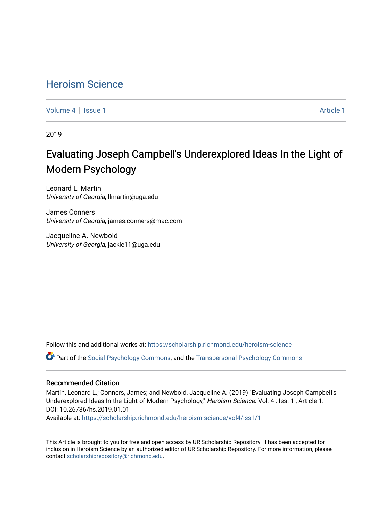## [Heroism Science](https://scholarship.richmond.edu/heroism-science)

[Volume 4](https://scholarship.richmond.edu/heroism-science/vol4) | [Issue 1](https://scholarship.richmond.edu/heroism-science/vol4/iss1) Article 1

2019

# Evaluating Joseph Campbell's Under explored Ideas In the Light of Modern Psychology

Leonard L. Martin University of Georgia, llmartin@uga.edu

James Conners University of Georgia, james.conners@mac.com

Jacqueline A. Newbold University of Georgia, jackie11@uga.edu

Follow this and additional works at: [https://scholarship.richmond.edu/heroism-science](https://scholarship.richmond.edu/heroism-science?utm_source=scholarship.richmond.edu%2Fheroism-science%2Fvol4%2Fiss1%2F1&utm_medium=PDF&utm_campaign=PDFCoverPages) 

Part of the [Social Psychology Commons,](http://network.bepress.com/hgg/discipline/414?utm_source=scholarship.richmond.edu%2Fheroism-science%2Fvol4%2Fiss1%2F1&utm_medium=PDF&utm_campaign=PDFCoverPages) and the [Transpersonal Psychology Commons](http://network.bepress.com/hgg/discipline/1388?utm_source=scholarship.richmond.edu%2Fheroism-science%2Fvol4%2Fiss1%2F1&utm_medium=PDF&utm_campaign=PDFCoverPages)

#### Recommended Citation

Martin, Leonard L.; Conners, James; and Newbold, Jacqueline A. (2019) "Evaluating Joseph Campbell's Underexplored Ideas In the Light of Modern Psychology," Heroism Science: Vol. 4 : Iss. 1 , Article 1. DOI: 10.26736/hs.2019.01.01

Available at: [https://scholarship.richmond.edu/heroism-science/vol4/iss1/1](https://scholarship.richmond.edu/heroism-science/vol4/iss1/1?utm_source=scholarship.richmond.edu%2Fheroism-science%2Fvol4%2Fiss1%2F1&utm_medium=PDF&utm_campaign=PDFCoverPages)

This Article is brought to you for free and open access by UR Scholarship Repository. It has been accepted for inclusion in Heroism Science by an authorized editor of UR Scholarship Repository. For more information, please contact [scholarshiprepository@richmond.edu](mailto:scholarshiprepository@richmond.edu).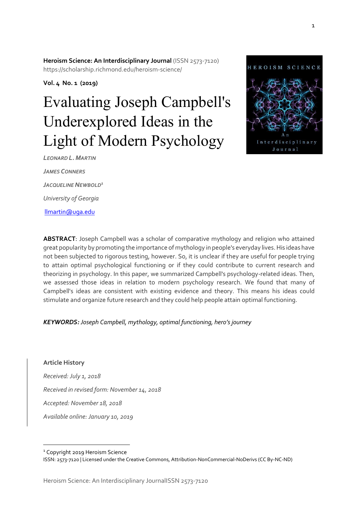**Heroism Science: An Interdisciplinary Journal (ISSN 2573-7120)** https://scholarship.richmond.edu/heroism-science/

**Vol. 4 No. 1 (2019)** 

# Evaluating Joseph Campbell's Underexplored Ideas in the Light of Modern Psychology



*LEONARD L. MARTIN JAMES CONNERS JACQUELINE NEWBOLD<sup>1</sup> University of Georgia* [llmartin@uga.edu](mailto:llmartin@uga.edu)

**ABSTRACT**: Joseph Campbell was a scholar of comparative mythology and religion who attained great popularity by promoting the importance of mythology in people's everyday lives. His ideas have not been subjected to rigorous testing, however. So, it is unclear if they are useful for people trying to attain optimal psychological functioning or if they could contribute to current research and theorizing in psychology. In this paper, we summarized Campbell's psychology-related ideas. Then, we assessed those ideas in relation to modern psychology research. We found that many of Campbell's ideas are consistent with existing evidence and theory. This means his ideas could stimulate and organize future research and they could help people attain optimal functioning.

*KEYWORDS: Joseph Campbell, mythology, optimal functioning, hero's journey* 

**Article History** *Received: July 1, 2018 Received in revised form: November 14, 2018 Accepted: November 18, 2018 Available online: January 10, 2019*

<sup>1</sup> Copyright 2019 Heroism Science

 $\overline{a}$ 

ISSN: 2573-7120 | Licensed under the Creative Commons, Attribution-NonCommercial-NoDerivs (CC By-NC-ND)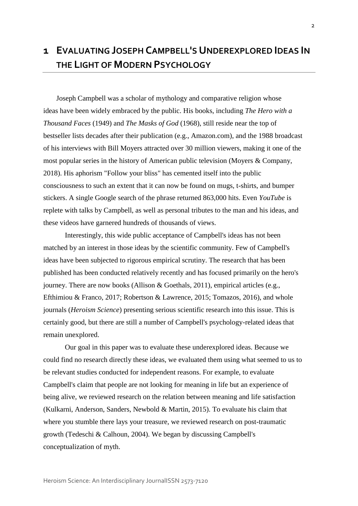# **1 EVALUATING JOSEPH CAMPBELL'S UNDEREXPLORED IDEAS IN THE LIGHT OF MODERN PSYCHOLOGY**

Joseph Campbell was a scholar of mythology and comparative religion whose ideas have been widely embraced by the public. His books, including *The Hero with a Thousand Faces* (1949) and *The Masks of God* (1968), still reside near the top of bestseller lists decades after their publication (e.g., Amazon.com), and the 1988 broadcast of his interviews with Bill Moyers attracted over 30 million viewers, making it one of the most popular series in the history of American public television (Moyers & Company, 2018). His aphorism "Follow your bliss" has cemented itself into the public consciousness to such an extent that it can now be found on mugs, t-shirts, and bumper stickers. A single Google search of the phrase returned 863,000 hits. Even *YouTube* is replete with talks by Campbell, as well as personal tributes to the man and his ideas, and these videos have garnered hundreds of thousands of views.

Interestingly, this wide public acceptance of Campbell's ideas has not been matched by an interest in those ideas by the scientific community. Few of Campbell's ideas have been subjected to rigorous empirical scrutiny. The research that has been published has been conducted relatively recently and has focused primarily on the hero's journey. There are now books (Allison & Goethals, 2011), empirical articles (e.g., Efthimiou & Franco, 2017; Robertson & Lawrence, 2015; Tomazos, 2016), and whole journals (*Heroism Science*) presenting serious scientific research into this issue. This is certainly good, but there are still a number of Campbell's psychology-related ideas that remain unexplored.

Our goal in this paper was to evaluate these underexplored ideas. Because we could find no research directly these ideas, we evaluated them using what seemed to us to be relevant studies conducted for independent reasons. For example, to evaluate Campbell's claim that people are not looking for meaning in life but an experience of being alive, we reviewed research on the relation between meaning and life satisfaction (Kulkarni, Anderson, Sanders, Newbold & Martin, 2015). To evaluate his claim that where you stumble there lays your treasure, we reviewed research on post-traumatic growth (Tedeschi & Calhoun, 2004). We began by discussing Campbell's conceptualization of myth.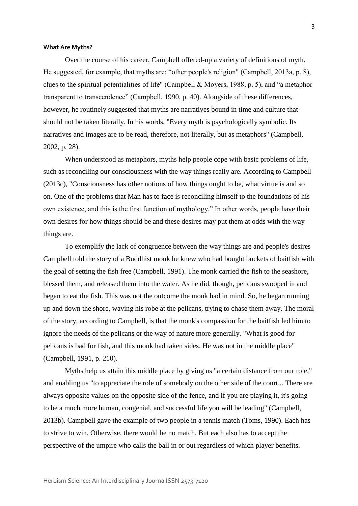#### **What Are Myths?**

Over the course of his career, Campbell offered-up a variety of definitions of myth. He suggested, for example, that myths are: "other people's religion" (Campbell, 2013a, p. 8), clues to the spiritual potentialities of life" (Campbell & Moyers, 1988, p. 5), and "a metaphor transparent to transcendence" (Campbell, 1990, p. 40). Alongside of these differences, however, he routinely suggested that myths are narratives bound in time and culture that should not be taken literally. In his words, "Every myth is psychologically symbolic. Its narratives and images are to be read, therefore, not literally, but as metaphors" (Campbell, 2002, p. 28).

When understood as metaphors, myths help people cope with basic problems of life, such as reconciling our consciousness with the way things really are. According to Campbell (2013c), "Consciousness has other notions of how things ought to be, what virtue is and so on. One of the problems that Man has to face is reconciling himself to the foundations of his own existence, and this is the first function of mythology." In other words, people have their own desires for how things should be and these desires may put them at odds with the way things are.

To exemplify the lack of congruence between the way things are and people's desires Campbell told the story of a Buddhist monk he knew who had bought buckets of baitfish with the goal of setting the fish free (Campbell, 1991). The monk carried the fish to the seashore, blessed them, and released them into the water. As he did, though, pelicans swooped in and began to eat the fish. This was not the outcome the monk had in mind. So, he began running up and down the shore, waving his robe at the pelicans, trying to chase them away. The moral of the story, according to Campbell, is that the monk's compassion for the baitfish led him to ignore the needs of the pelicans or the way of nature more generally. "What is good for pelicans is bad for fish, and this monk had taken sides. He was not in the middle place" (Campbell, 1991, p. 210).

Myths help us attain this middle place by giving us "a certain distance from our role," and enabling us "to appreciate the role of somebody on the other side of the court... There are always opposite values on the opposite side of the fence, and if you are playing it, it's going to be a much more human, congenial, and successful life you will be leading" (Campbell, 2013b). Campbell gave the example of two people in a tennis match (Toms, 1990). Each has to strive to win. Otherwise, there would be no match. But each also has to accept the perspective of the umpire who calls the ball in or out regardless of which player benefits.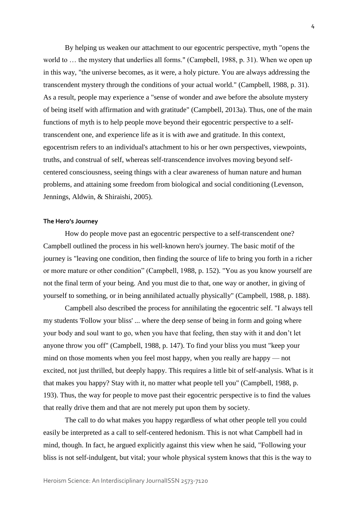By helping us weaken our attachment to our egocentric perspective, myth "opens the world to … the mystery that underlies all forms." (Campbell, 1988, p. 31). When we open up in this way, "the universe becomes, as it were, a holy picture. You are always addressing the transcendent mystery through the conditions of your actual world." (Campbell, 1988, p. 31). As a result, people may experience a "sense of wonder and awe before the absolute mystery of being itself with affirmation and with gratitude" (Campbell, 2013a). Thus, one of the main functions of myth is to help people move beyond their egocentric perspective to a selftranscendent one, and experience life as it is with awe and gratitude. In this context, egocentrism refers to an individual's attachment to his or her own perspectives, viewpoints, truths, and construal of self, whereas self-transcendence involves moving beyond selfcentered consciousness, seeing things with a clear awareness of human nature and human problems, and attaining some freedom from biological and social conditioning (Levenson, Jennings, Aldwin, & Shiraishi, 2005).

#### **The Hero's Journey**

How do people move past an egocentric perspective to a self-transcendent one? Campbell outlined the process in his well-known hero's journey. The basic motif of the journey is "leaving one condition, then finding the source of life to bring you forth in a richer or more mature or other condition" (Campbell, 1988, p. 152). "You as you know yourself are not the final term of your being. And you must die to that, one way or another, in giving of yourself to something, or in being annihilated actually physically" (Campbell, 1988, p. 188).

Campbell also described the process for annihilating the egocentric self. "I always tell my students 'Follow your bliss' ... where the deep sense of being in form and going where your body and soul want to go, when you have that feeling, then stay with it and don't let anyone throw you off" (Campbell, 1988, p. 147). To find your bliss you must "keep your mind on those moments when you feel most happy, when you really are happy — not excited, not just thrilled, but deeply happy. This requires a little bit of self-analysis. What is it that makes you happy? Stay with it, no matter what people tell you" (Campbell, 1988, p. 193). Thus, the way for people to move past their egocentric perspective is to find the values that really drive them and that are not merely put upon them by society.

The call to do what makes you happy regardless of what other people tell you could easily be interpreted as a call to self-centered hedonism. This is not what Campbell had in mind, though. In fact, he argued explicitly against this view when he said, "Following your bliss is not self-indulgent, but vital; your whole physical system knows that this is the way to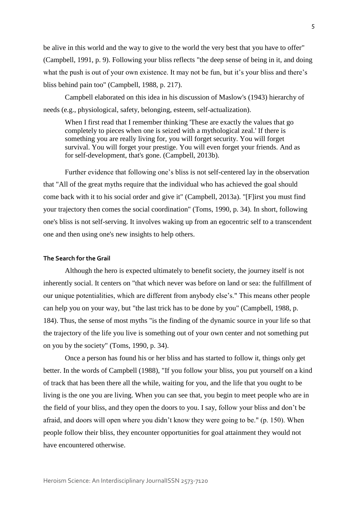be alive in this world and the way to give to the world the very best that you have to offer" (Campbell, 1991, p. 9). Following your bliss reflects "the deep sense of being in it, and doing what the push is out of your own existence. It may not be fun, but it's your bliss and there's bliss behind pain too" (Campbell, 1988, p. 217).

Campbell elaborated on this idea in his discussion of Maslow's (1943) hierarchy of needs (e.g., physiological, safety, belonging, esteem, self-actualization).

When I first read that I remember thinking 'These are exactly the values that go completely to pieces when one is seized with a mythological zeal.' If there is something you are really living for, you will forget security. You will forget survival. You will forget your prestige. You will even forget your friends. And as for self-development, that's gone. (Campbell, 2013b).

Further evidence that following one's bliss is not self-centered lay in the observation that "All of the great myths require that the individual who has achieved the goal should come back with it to his social order and give it" (Campbell, 2013a). "[F]irst you must find your trajectory then comes the social coordination" (Toms, 1990, p. 34). In short, following one's bliss is not self-serving. It involves waking up from an egocentric self to a transcendent one and then using one's new insights to help others.

#### **The Search for the Grail**

Although the hero is expected ultimately to benefit society, the journey itself is not inherently social. It centers on "that which never was before on land or sea: the fulfillment of our unique potentialities, which are different from anybody else's." This means other people can help you on your way, but "the last trick has to be done by you" (Campbell, 1988, p. 184). Thus, the sense of most myths "is the finding of the dynamic source in your life so that the trajectory of the life you live is something out of your own center and not something put on you by the society" (Toms, 1990, p. 34).

Once a person has found his or her bliss and has started to follow it, things only get better. In the words of Campbell (1988), "If you follow your bliss, you put yourself on a kind of track that has been there all the while, waiting for you, and the life that you ought to be living is the one you are living. When you can see that, you begin to meet people who are in the field of your bliss, and they open the doors to you. I say, follow your bliss and don't be afraid, and doors will open where you didn't know they were going to be." (p. 150). When people follow their bliss, they encounter opportunities for goal attainment they would not have encountered otherwise.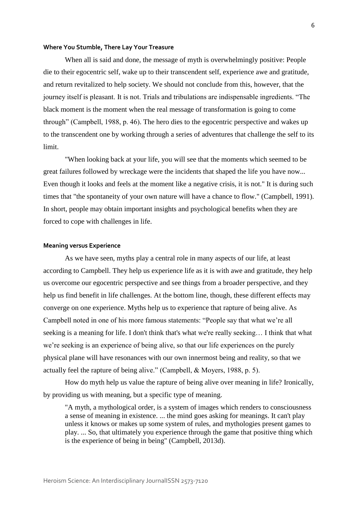#### **Where You Stumble, There Lay Your Treasure**

When all is said and done, the message of myth is overwhelmingly positive: People die to their egocentric self, wake up to their transcendent self, experience awe and gratitude, and return revitalized to help society. We should not conclude from this, however, that the journey itself is pleasant. It is not. Trials and tribulations are indispensable ingredients. "The black moment is the moment when the real message of transformation is going to come through" (Campbell, 1988, p. 46). The hero dies to the egocentric perspective and wakes up to the transcendent one by working through a series of adventures that challenge the self to its limit.

"When looking back at your life, you will see that the moments which seemed to be great failures followed by wreckage were the incidents that shaped the life you have now... Even though it looks and feels at the moment like a negative crisis, it is not." It is during such times that "the spontaneity of your own nature will have a chance to flow." (Campbell, 1991). In short, people may obtain important insights and psychological benefits when they are forced to cope with challenges in life.

#### **Meaning versus Experience**

As we have seen, myths play a central role in many aspects of our life, at least according to Campbell. They help us experience life as it is with awe and gratitude, they help us overcome our egocentric perspective and see things from a broader perspective, and they help us find benefit in life challenges. At the bottom line, though, these different effects may converge on one experience. Myths help us to experience that rapture of being alive. As Campbell noted in one of his more famous statements: "People say that what we're all seeking is a meaning for life. I don't think that's what we're really seeking… I think that what we're seeking is an experience of being alive, so that our life experiences on the purely physical plane will have resonances with our own innermost being and reality, so that we actually feel the rapture of being alive." (Campbell, & Moyers, 1988, p. 5).

How do myth help us value the rapture of being alive over meaning in life? Ironically, by providing us with meaning, but a specific type of meaning.

"A myth, a mythological order, is a system of images which renders to consciousness a sense of meaning in existence. ... the mind goes asking for meanings. It can't play unless it knows or makes up some system of rules, and mythologies present games to play. ... So, that ultimately you experience through the game that positive thing which is the experience of being in being" (Campbell, 2013d).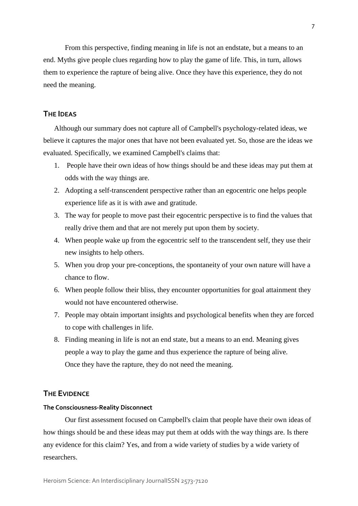From this perspective, finding meaning in life is not an endstate, but a means to an end. Myths give people clues regarding how to play the game of life. This, in turn, allows them to experience the rapture of being alive. Once they have this experience, they do not need the meaning.

#### **THE IDEAS**

Although our summary does not capture all of Campbell's psychology-related ideas, we believe it captures the major ones that have not been evaluated yet. So, those are the ideas we evaluated. Specifically, we examined Campbell's claims that:

- 1. People have their own ideas of how things should be and these ideas may put them at odds with the way things are.
- 2. Adopting a self-transcendent perspective rather than an egocentric one helps people experience life as it is with awe and gratitude.
- 3. The way for people to move past their egocentric perspective is to find the values that really drive them and that are not merely put upon them by society.
- 4. When people wake up from the egocentric self to the transcendent self, they use their new insights to help others.
- 5. When you drop your pre-conceptions, the spontaneity of your own nature will have a chance to flow.
- 6. When people follow their bliss, they encounter opportunities for goal attainment they would not have encountered otherwise.
- 7. People may obtain important insights and psychological benefits when they are forced to cope with challenges in life.
- 8. Finding meaning in life is not an end state, but a means to an end. Meaning gives people a way to play the game and thus experience the rapture of being alive. Once they have the rapture, they do not need the meaning.

#### **THE EVIDENCE**

#### **The Consciousness-Reality Disconnect**

Our first assessment focused on Campbell's claim that people have their own ideas of how things should be and these ideas may put them at odds with the way things are. Is there any evidence for this claim? Yes, and from a wide variety of studies by a wide variety of researchers.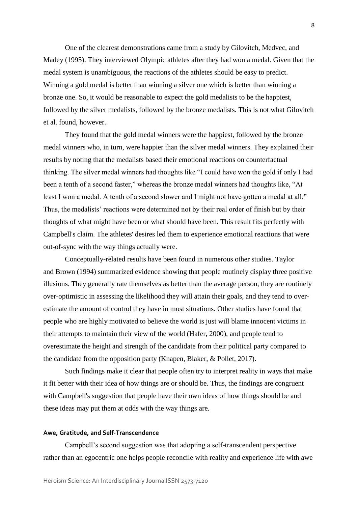One of the clearest demonstrations came from a study by Gilovitch, Medvec, and Madey (1995). They interviewed Olympic athletes after they had won a medal. Given that the medal system is unambiguous, the reactions of the athletes should be easy to predict. Winning a gold medal is better than winning a silver one which is better than winning a bronze one. So, it would be reasonable to expect the gold medalists to be the happiest, followed by the silver medalists, followed by the bronze medalists. This is not what Gilovitch et al. found, however.

They found that the gold medal winners were the happiest, followed by the bronze medal winners who, in turn, were happier than the silver medal winners. They explained their results by noting that the medalists based their emotional reactions on counterfactual thinking. The silver medal winners had thoughts like "I could have won the gold if only I had been a tenth of a second faster," whereas the bronze medal winners had thoughts like, "At least I won a medal. A tenth of a second slower and I might not have gotten a medal at all." Thus, the medalists' reactions were determined not by their real order of finish but by their thoughts of what might have been or what should have been. This result fits perfectly with Campbell's claim. The athletes' desires led them to experience emotional reactions that were out-of-sync with the way things actually were.

Conceptually-related results have been found in numerous other studies. Taylor and Brown (1994) summarized evidence showing that people routinely display three positive illusions. They generally rate themselves as better than the average person, they are routinely over-optimistic in assessing the likelihood they will attain their goals, and they tend to overestimate the amount of control they have in most situations. Other studies have found that people who are highly motivated to believe the world is just will blame innocent victims in their attempts to maintain their view of the world (Hafer, 2000), and people tend to overestimate the height and strength of the candidate from their political party compared to the candidate from the opposition party (Knapen, Blaker, & Pollet, 2017).

Such findings make it clear that people often try to interpret reality in ways that make it fit better with their idea of how things are or should be. Thus, the findings are congruent with Campbell's suggestion that people have their own ideas of how things should be and these ideas may put them at odds with the way things are.

#### **Awe, Gratitude, and Self-Transcendence**

Campbell's second suggestion was that adopting a self-transcendent perspective rather than an egocentric one helps people reconcile with reality and experience life with awe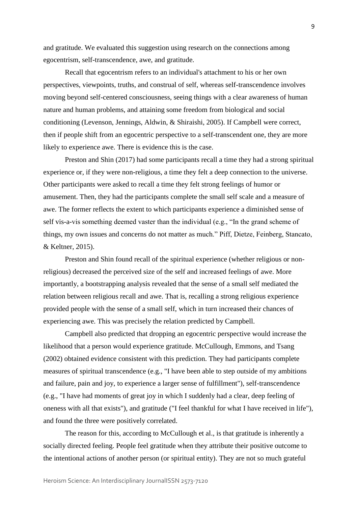and gratitude. We evaluated this suggestion using research on the connections among egocentrism, self-transcendence, awe, and gratitude.

Recall that egocentrism refers to an individual's attachment to his or her own perspectives, viewpoints, truths, and construal of self, whereas self-transcendence involves moving beyond self-centered consciousness, seeing things with a clear awareness of human nature and human problems, and attaining some freedom from biological and social conditioning (Levenson, Jennings, Aldwin, & Shiraishi, 2005). If Campbell were correct, then if people shift from an egocentric perspective to a self-transcendent one, they are more likely to experience awe. There is evidence this is the case.

Preston and Shin (2017) had some participants recall a time they had a strong spiritual experience or, if they were non-religious, a time they felt a deep connection to the universe. Other participants were asked to recall a time they felt strong feelings of humor or amusement. Then, they had the participants complete the small self scale and a measure of awe. The former reflects the extent to which participants experience a diminished sense of self vis-a-vis something deemed vaster than the individual (e.g., "In the grand scheme of things, my own issues and concerns do not matter as much." Piff, Dietze, Feinberg, Stancato, & Keltner, 2015).

Preston and Shin found recall of the spiritual experience (whether religious or nonreligious) decreased the perceived size of the self and increased feelings of awe. More importantly, a bootstrapping analysis revealed that the sense of a small self mediated the relation between religious recall and awe. That is, recalling a strong religious experience provided people with the sense of a small self, which in turn increased their chances of experiencing awe. This was precisely the relation predicted by Campbell.

Campbell also predicted that dropping an egocentric perspective would increase the likelihood that a person would experience gratitude. McCullough, Emmons, and Tsang (2002) obtained evidence consistent with this prediction. They had participants complete measures of spiritual transcendence (e.g., "I have been able to step outside of my ambitions and failure, pain and joy, to experience a larger sense of fulfillment"), self-transcendence (e.g., "I have had moments of great joy in which I suddenly had a clear, deep feeling of oneness with all that exists"), and gratitude ("I feel thankful for what I have received in life"), and found the three were positively correlated.

The reason for this, according to McCullough et al., is that gratitude is inherently a socially directed feeling. People feel gratitude when they attribute their positive outcome to the intentional actions of another person (or spiritual entity). They are not so much grateful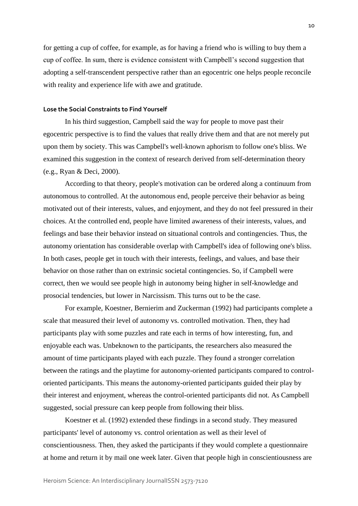for getting a cup of coffee, for example, as for having a friend who is willing to buy them a cup of coffee. In sum, there is evidence consistent with Campbell's second suggestion that adopting a self-transcendent perspective rather than an egocentric one helps people reconcile with reality and experience life with awe and gratitude.

#### **Lose the Social Constraints to Find Yourself**

In his third suggestion, Campbell said the way for people to move past their egocentric perspective is to find the values that really drive them and that are not merely put upon them by society. This was Campbell's well-known aphorism to follow one's bliss. We examined this suggestion in the context of research derived from self-determination theory (e.g., Ryan & Deci, 2000).

According to that theory, people's motivation can be ordered along a continuum from autonomous to controlled. At the autonomous end, people perceive their behavior as being motivated out of their interests, values, and enjoyment, and they do not feel pressured in their choices. At the controlled end, people have limited awareness of their interests, values, and feelings and base their behavior instead on situational controls and contingencies. Thus, the autonomy orientation has considerable overlap with Campbell's idea of following one's bliss. In both cases, people get in touch with their interests, feelings, and values, and base their behavior on those rather than on extrinsic societal contingencies. So, if Campbell were correct, then we would see people high in autonomy being higher in self-knowledge and prosocial tendencies, but lower in Narcissism. This turns out to be the case.

For example, Koestner, Bernierim and Zuckerman (1992) had participants complete a scale that measured their level of autonomy vs. controlled motivation. Then, they had participants play with some puzzles and rate each in terms of how interesting, fun, and enjoyable each was. Unbeknown to the participants, the researchers also measured the amount of time participants played with each puzzle. They found a stronger correlation between the ratings and the playtime for autonomy-oriented participants compared to controloriented participants. This means the autonomy-oriented participants guided their play by their interest and enjoyment, whereas the control-oriented participants did not. As Campbell suggested, social pressure can keep people from following their bliss.

Koestner et al. (1992) extended these findings in a second study. They measured participants' level of autonomy vs. control orientation as well as their level of conscientiousness. Then, they asked the participants if they would complete a questionnaire at home and return it by mail one week later. Given that people high in conscientiousness are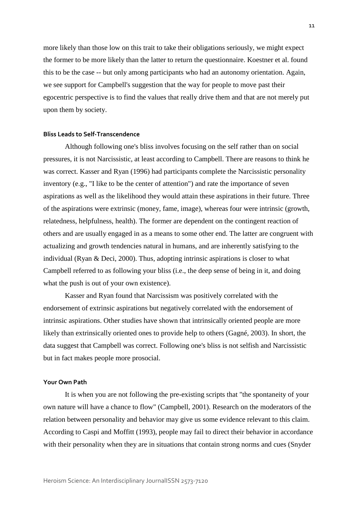more likely than those low on this trait to take their obligations seriously, we might expect the former to be more likely than the latter to return the questionnaire. Koestner et al. found this to be the case -- but only among participants who had an autonomy orientation. Again, we see support for Campbell's suggestion that the way for people to move past their egocentric perspective is to find the values that really drive them and that are not merely put upon them by society.

#### **Bliss Leads to Self-Transcendence**

Although following one's bliss involves focusing on the self rather than on social pressures, it is not Narcissistic, at least according to Campbell. There are reasons to think he was correct. Kasser and Ryan (1996) had participants complete the Narcissistic personality inventory (e.g., "I like to be the center of attention") and rate the importance of seven aspirations as well as the likelihood they would attain these aspirations in their future. Three of the aspirations were extrinsic (money, fame, image), whereas four were intrinsic (growth, relatedness, helpfulness, health). The former are dependent on the contingent reaction of others and are usually engaged in as a means to some other end. The latter are congruent with actualizing and growth tendencies natural in humans, and are inherently satisfying to the individual (Ryan & Deci, 2000). Thus, adopting intrinsic aspirations is closer to what Campbell referred to as following your bliss (i.e., the deep sense of being in it, and doing what the push is out of your own existence).

Kasser and Ryan found that Narcissism was positively correlated with the endorsement of extrinsic aspirations but negatively correlated with the endorsement of intrinsic aspirations. Other studies have shown that intrinsically oriented people are more likely than extrinsically oriented ones to provide help to others (Gagné, 2003). In short, the data suggest that Campbell was correct. Following one's bliss is not selfish and Narcissistic but in fact makes people more prosocial.

#### **Your Own Path**

It is when you are not following the pre-existing scripts that "the spontaneity of your own nature will have a chance to flow" (Campbell, 2001). Research on the moderators of the relation between personality and behavior may give us some evidence relevant to this claim. According to Caspi and Moffitt (1993), people may fail to direct their behavior in accordance with their personality when they are in situations that contain strong norms and cues (Snyder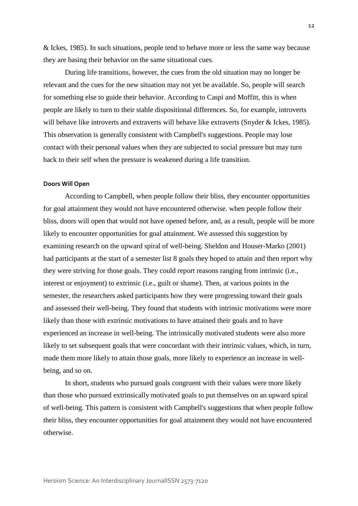& Ickes, 1985). In such situations, people tend to behave more or less the same way because they are basing their behavior on the same situational cues.

During life transitions, however, the cues from the old situation may no longer be relevant and the cues for the new situation may not yet be available. So, people will search for something else to guide their behavior. According to Caspi and Moffitt, this is when people are likely to turn to their stable dispositional differences. So, for example, introverts will behave like introverts and extraverts will behave like extraverts (Snyder & Ickes, 1985). This observation is generally consistent with Campbell's suggestions. People may lose contact with their personal values when they are subjected to social pressure but may turn back to their self when the pressure is weakened during a life transition.

#### **Doors Will Open**

According to Campbell, when people follow their bliss, they encounter opportunities for goal attainment they would not have encountered otherwise. when people follow their bliss, doors will open that would not have opened before, and, as a result, people will be more likely to encounter opportunities for goal attainment. We assessed this suggestion by examining research on the upward spiral of well-being. Sheldon and Houser-Marko (2001) had participants at the start of a semester list 8 goals they hoped to attain and then report why they were striving for those goals. They could report reasons ranging from intrinsic (i.e., interest or enjoyment) to extrinsic (i.e., guilt or shame). Then, at various points in the semester, the researchers asked participants how they were progressing toward their goals and assessed their well-being. They found that students with intrinsic motivations were more likely than those with extrinsic motivations to have attained their goals and to have experienced an increase in well-being. The intrinsically motivated students were also more likely to set subsequent goals that were concordant with their intrinsic values, which, in turn, made them more likely to attain those goals, more likely to experience an increase in wellbeing, and so on.

In short, students who pursued goals congruent with their values were more likely than those who pursued extrinsically motivated goals to put themselves on an upward spiral of well-being. This pattern is consistent with Campbell's suggestions that when people follow their bliss, they encounter opportunities for goal attainment they would not have encountered otherwise.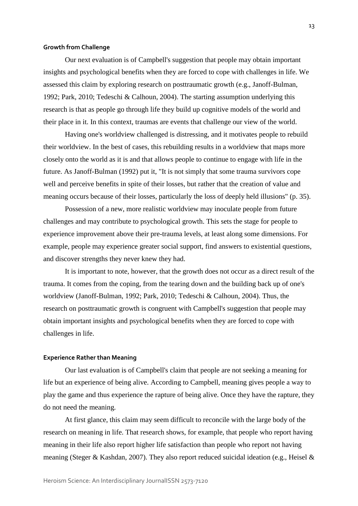#### **Growth from Challenge**

Our next evaluation is of Campbell's suggestion that people may obtain important insights and psychological benefits when they are forced to cope with challenges in life. We assessed this claim by exploring research on posttraumatic growth (e.g., Janoff-Bulman, 1992; Park, 2010; Tedeschi & Calhoun, 2004). The starting assumption underlying this research is that as people go through life they build up cognitive models of the world and their place in it. In this context, traumas are events that challenge our view of the world.

Having one's worldview challenged is distressing, and it motivates people to rebuild their worldview. In the best of cases, this rebuilding results in a worldview that maps more closely onto the world as it is and that allows people to continue to engage with life in the future. As Janoff-Bulman (1992) put it, "It is not simply that some trauma survivors cope well and perceive benefits in spite of their losses, but rather that the creation of value and meaning occurs because of their losses, particularly the loss of deeply held illusions" (p. 35).

Possession of a new, more realistic worldview may inoculate people from future challenges and may contribute to psychological growth. This sets the stage for people to experience improvement above their pre-trauma levels, at least along some dimensions. For example, people may experience greater social support, find answers to existential questions, and discover strengths they never knew they had.

It is important to note, however, that the growth does not occur as a direct result of the trauma. It comes from the coping, from the tearing down and the building back up of one's worldview (Janoff-Bulman, 1992; Park, 2010; Tedeschi & Calhoun, 2004). Thus, the research on posttraumatic growth is congruent with Campbell's suggestion that people may obtain important insights and psychological benefits when they are forced to cope with challenges in life.

#### **Experience Rather than Meaning**

Our last evaluation is of Campbell's claim that people are not seeking a meaning for life but an experience of being alive. According to Campbell, meaning gives people a way to play the game and thus experience the rapture of being alive. Once they have the rapture, they do not need the meaning.

At first glance, this claim may seem difficult to reconcile with the large body of the research on meaning in life. That research shows, for example, that people who report having meaning in their life also report higher life satisfaction than people who report not having meaning (Steger & Kashdan, 2007). They also report reduced suicidal ideation (e.g., Heisel &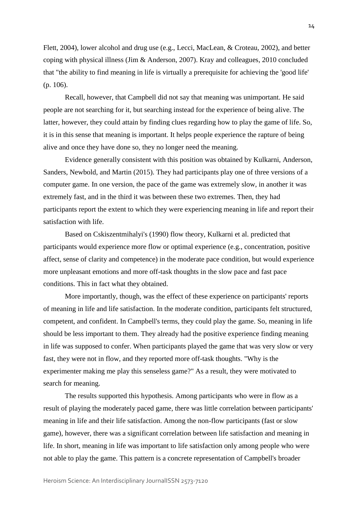Flett, 2004), lower alcohol and drug use (e.g., Lecci, MacLean, & Croteau, 2002), and better coping with physical illness (Jim & Anderson, 2007). Kray and colleagues, 2010 concluded that "the ability to find meaning in life is virtually a prerequisite for achieving the 'good life' (p. 106).

Recall, however, that Campbell did not say that meaning was unimportant. He said people are not searching for it, but searching instead for the experience of being alive. The latter, however, they could attain by finding clues regarding how to play the game of life. So, it is in this sense that meaning is important. It helps people experience the rapture of being alive and once they have done so, they no longer need the meaning.

Evidence generally consistent with this position was obtained by Kulkarni, Anderson, Sanders, Newbold, and Martin (2015). They had participants play one of three versions of a computer game. In one version, the pace of the game was extremely slow, in another it was extremely fast, and in the third it was between these two extremes. Then, they had participants report the extent to which they were experiencing meaning in life and report their satisfaction with life.

Based on Cskiszentmihalyi's (1990) flow theory, Kulkarni et al. predicted that participants would experience more flow or optimal experience (e.g., concentration, positive affect, sense of clarity and competence) in the moderate pace condition, but would experience more unpleasant emotions and more off-task thoughts in the slow pace and fast pace conditions. This in fact what they obtained.

More importantly, though, was the effect of these experience on participants' reports of meaning in life and life satisfaction. In the moderate condition, participants felt structured, competent, and confident. In Campbell's terms, they could play the game. So, meaning in life should be less important to them. They already had the positive experience finding meaning in life was supposed to confer. When participants played the game that was very slow or very fast, they were not in flow, and they reported more off-task thoughts. "Why is the experimenter making me play this senseless game?" As a result, they were motivated to search for meaning.

The results supported this hypothesis. Among participants who were in flow as a result of playing the moderately paced game, there was little correlation between participants' meaning in life and their life satisfaction. Among the non-flow participants (fast or slow game), however, there was a significant correlation between life satisfaction and meaning in life. In short, meaning in life was important to life satisfaction only among people who were not able to play the game. This pattern is a concrete representation of Campbell's broader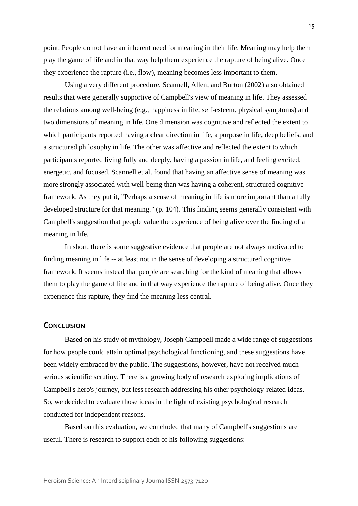point. People do not have an inherent need for meaning in their life. Meaning may help them play the game of life and in that way help them experience the rapture of being alive. Once they experience the rapture (i.e., flow), meaning becomes less important to them.

Using a very different procedure, Scannell, Allen, and Burton (2002) also obtained results that were generally supportive of Campbell's view of meaning in life. They assessed the relations among well-being (e.g., happiness in life, self-esteem, physical symptoms) and two dimensions of meaning in life. One dimension was cognitive and reflected the extent to which participants reported having a clear direction in life, a purpose in life, deep beliefs, and a structured philosophy in life. The other was affective and reflected the extent to which participants reported living fully and deeply, having a passion in life, and feeling excited, energetic, and focused. Scannell et al. found that having an affective sense of meaning was more strongly associated with well-being than was having a coherent, structured cognitive framework. As they put it, "Perhaps a sense of meaning in life is more important than a fully developed structure for that meaning." (p. 104). This finding seems generally consistent with Campbell's suggestion that people value the experience of being alive over the finding of a meaning in life.

In short, there is some suggestive evidence that people are not always motivated to finding meaning in life -- at least not in the sense of developing a structured cognitive framework. It seems instead that people are searching for the kind of meaning that allows them to play the game of life and in that way experience the rapture of being alive. Once they experience this rapture, they find the meaning less central.

#### **CONCLUSION**

Based on his study of mythology, Joseph Campbell made a wide range of suggestions for how people could attain optimal psychological functioning, and these suggestions have been widely embraced by the public. The suggestions, however, have not received much serious scientific scrutiny. There is a growing body of research exploring implications of Campbell's hero's journey, but less research addressing his other psychology-related ideas. So, we decided to evaluate those ideas in the light of existing psychological research conducted for independent reasons.

Based on this evaluation, we concluded that many of Campbell's suggestions are useful. There is research to support each of his following suggestions: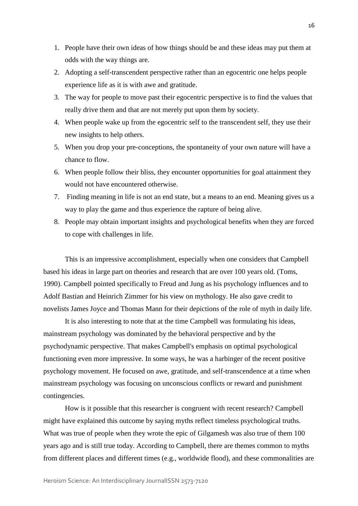- 1. People have their own ideas of how things should be and these ideas may put them at odds with the way things are.
- 2. Adopting a self-transcendent perspective rather than an egocentric one helps people experience life as it is with awe and gratitude.
- 3. The way for people to move past their egocentric perspective is to find the values that really drive them and that are not merely put upon them by society.
- 4. When people wake up from the egocentric self to the transcendent self, they use their new insights to help others.
- 5. When you drop your pre-conceptions, the spontaneity of your own nature will have a chance to flow.
- 6. When people follow their bliss, they encounter opportunities for goal attainment they would not have encountered otherwise.
- 7. Finding meaning in life is not an end state, but a means to an end. Meaning gives us a way to play the game and thus experience the rapture of being alive.
- 8. People may obtain important insights and psychological benefits when they are forced to cope with challenges in life.

This is an impressive accomplishment, especially when one considers that Campbell based his ideas in large part on theories and research that are over 100 years old. (Toms, 1990). Campbell pointed specifically to Freud and Jung as his psychology influences and to Adolf Bastian and Heinrich Zimmer for his view on mythology. He also gave credit to novelists James Joyce and Thomas Mann for their depictions of the role of myth in daily life.

It is also interesting to note that at the time Campbell was formulating his ideas, mainstream psychology was dominated by the behavioral perspective and by the psychodynamic perspective. That makes Campbell's emphasis on optimal psychological functioning even more impressive. In some ways, he was a harbinger of the recent positive psychology movement. He focused on awe, gratitude, and self-transcendence at a time when mainstream psychology was focusing on unconscious conflicts or reward and punishment contingencies.

How is it possible that this researcher is congruent with recent research? Campbell might have explained this outcome by saying myths reflect timeless psychological truths. What was true of people when they wrote the epic of Gilgamesh was also true of them 100 years ago and is still true today. According to Campbell, there are themes common to myths from different places and different times (e.g., worldwide flood), and these commonalities are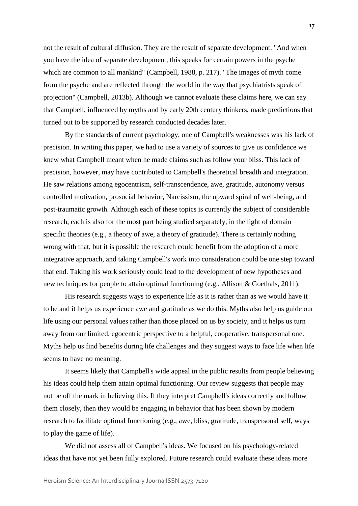not the result of cultural diffusion. They are the result of separate development. "And when you have the idea of separate development, this speaks for certain powers in the psyche which are common to all mankind" (Campbell, 1988, p. 217). "The images of myth come from the psyche and are reflected through the world in the way that psychiatrists speak of projection" (Campbell, 2013b). Although we cannot evaluate these claims here, we can say that Campbell, influenced by myths and by early 20th century thinkers, made predictions that turned out to be supported by research conducted decades later.

By the standards of current psychology, one of Campbell's weaknesses was his lack of precision. In writing this paper, we had to use a variety of sources to give us confidence we knew what Campbell meant when he made claims such as follow your bliss. This lack of precision, however, may have contributed to Campbell's theoretical breadth and integration. He saw relations among egocentrism, self-transcendence, awe, gratitude, autonomy versus controlled motivation, prosocial behavior, Narcissism, the upward spiral of well-being, and post-traumatic growth. Although each of these topics is currently the subject of considerable research, each is also for the most part being studied separately, in the light of domain specific theories (e.g., a theory of awe, a theory of gratitude). There is certainly nothing wrong with that, but it is possible the research could benefit from the adoption of a more integrative approach, and taking Campbell's work into consideration could be one step toward that end. Taking his work seriously could lead to the development of new hypotheses and new techniques for people to attain optimal functioning (e.g., Allison & Goethals, 2011).

His research suggests ways to experience life as it is rather than as we would have it to be and it helps us experience awe and gratitude as we do this. Myths also help us guide our life using our personal values rather than those placed on us by society, and it helps us turn away from our limited, egocentric perspective to a helpful, cooperative, transpersonal one. Myths help us find benefits during life challenges and they suggest ways to face life when life seems to have no meaning.

It seems likely that Campbell's wide appeal in the public results from people believing his ideas could help them attain optimal functioning. Our review suggests that people may not be off the mark in believing this. If they interpret Campbell's ideas correctly and follow them closely, then they would be engaging in behavior that has been shown by modern research to facilitate optimal functioning (e.g., awe, bliss, gratitude, transpersonal self, ways to play the game of life).

We did not assess all of Campbell's ideas. We focused on his psychology-related ideas that have not yet been fully explored. Future research could evaluate these ideas more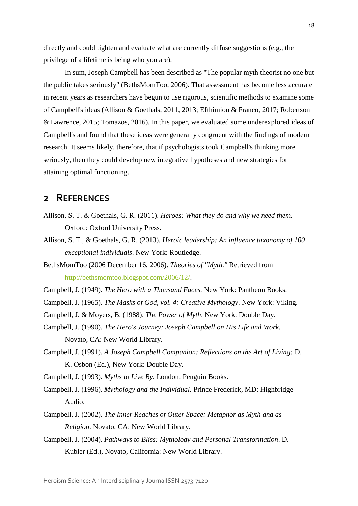directly and could tighten and evaluate what are currently diffuse suggestions (e.g., the privilege of a lifetime is being who you are).

In sum, Joseph Campbell has been described as "The popular myth theorist no one but the public takes seriously" (BethsMomToo, 2006). That assessment has become less accurate in recent years as researchers have begun to use rigorous, scientific methods to examine some of Campbell's ideas (Allison & Goethals, 2011, 2013; Efthimiou & Franco, 2017; Robertson & Lawrence, 2015; Tomazos, 2016). In this paper, we evaluated some underexplored ideas of Campbell's and found that these ideas were generally congruent with the findings of modern research. It seems likely, therefore, that if psychologists took Campbell's thinking more seriously, then they could develop new integrative hypotheses and new strategies for attaining optimal functioning.

### **2 REFERENCES**

- Allison, S. T. & Goethals, G. R. (2011). *Heroes: What they do and why we need them.* Oxford: Oxford University Press.
- Allison, S. T., & Goethals, G. R. (2013). *Heroic leadership: An influence taxonomy of 100 exceptional individuals*. New York: Routledge.
- BethsMomToo (2006 December 16, 2006). *Theories of "Myth."* Retrieved from [http://bethsmomtoo.blogspot.com/2006/12/.](http://bethsmomtoo.blogspot.com/2006/12/)
- Campbell, J. (1949). *The Hero with a Thousand Faces.* New York: Pantheon Books.
- Campbell, J. (1965). *The Masks of God, vol. 4: Creative Mythology*. New York: Viking.
- Campbell, J. & Moyers, B. (1988). *The Power of Myth*. New York: Double Day.
- Campbell, J. (1990). *The Hero's Journey: Joseph Campbell on His Life and Work.*  Novato, CA: New World Library.
- Campbell, J. (1991). *A Joseph Campbell Companion: Reflections on the Art of Living:* D. K. Osbon (Ed.), New York: Double Day.
- Campbell, J. (1993). *Myths to Live By.* London: Penguin Books.
- Campbell, J. (1996). *Mythology and the Individual.* Prince Frederick, MD: Highbridge Audio.
- Campbell, J. (2002). *The Inner Reaches of Outer Space: Metaphor as Myth and as Religion*. Novato, CA: New World Library.
- Campbell, J. (2004). *Pathways to Bliss: Mythology and Personal Transformation*. D. Kubler (Ed.), Novato, California: New World Library.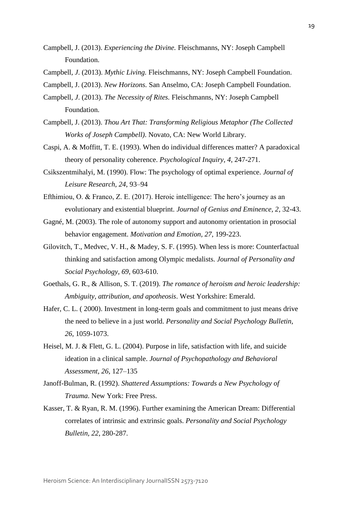- Campbell, J. (2013). *Experiencing the Divine.* Fleischmanns, NY: Joseph Campbell Foundation.
- Campbell*, J*. (2013). *Mythic Living.* Fleischmanns, NY: Joseph Campbell Foundation.
- Campbell, J. (2013). *New Horizons.* San Anselmo, CA: Joseph Campbell Foundation.

Campbell*, J*. (2013). *The Necessity of Rites.* Fleischmanns, NY: Joseph Campbell Foundation.

- Campbell, J. (2013). *Thou Art That: Transforming Religious Metaphor (The Collected Works of Joseph Campbell)*. Novato, CA: New World Library.
- Caspi, A. & Moffitt, T. E. (1993). When do individual differences matter? A paradoxical theory of personality coherence. *Psychological Inquiry, 4*, 247-271.

Csikszentmihalyi, M. (1990). Flow: The psychology of optimal experience. *Journal of Leisure Research, 24*, 93–94

- Efthimiou, O. & Franco, Z. E. (2017). Heroic intelligence: The hero's journey as an evolutionary and existential blueprint. *Journal of Genius and Eminence, 2*, 32-43.
- Gagné, M. (2003). The role of autonomy support and autonomy orientation in prosocial behavior engagement. *Motivation and Emotion, 27*, 199-223.
- Gilovitch, T., Medvec, V. H., & Madey, S. F. (1995). When less is more: Counterfactual thinking and satisfaction among Olympic medalists. *Journal of Personality and Social Psychology, 69*, 603-610.
- Goethals, G. R., & Allison, S. T. (2019). *The romance of heroism and heroic leadership: Ambiguity, attribution, and apotheosis*. West Yorkshire: Emerald.
- Hafer, C. L. ( 2000). Investment in long-term goals and commitment to just means drive the need to believe in a just world. *Personality and Social Psychology Bulletin, 26*, 1059-1073.
- Heisel, M. J. & Flett, G. L. (2004). Purpose in life, satisfaction with life, and suicide ideation in a clinical sample. *Journal of Psychopathology and Behavioral Assessment, 26*, 127–135
- Janoff-Bulman, R. (1992). *Shattered Assumptions: Towards a New Psychology of Trauma*. New York: Free Press.
- Kasser, T. & Ryan, R. M. (1996). Further examining the American Dream: Differential correlates of intrinsic and extrinsic goals. *Personality and Social Psychology Bulletin, 22*, 280-287.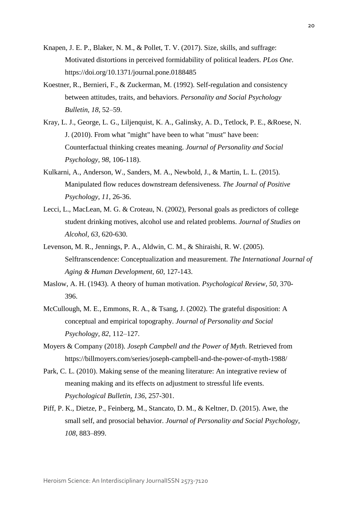- Knapen, J. E. P., Blaker, N. M., & Pollet, T. V. (2017). Size, skills, and suffrage: Motivated distortions in perceived formidability of political leaders. *PLos One*. https://doi.org/10.1371/journal.pone.0188485
- Koestner, R., Bernieri, F., & Zuckerman, M. (1992). Self-regulation and consistency between attitudes, traits, and behaviors. *Personality and Social Psychology Bulletin, 18*, 52–59.
- Kray, L. J., George, L. G., Liljenquist, K. A., Galinsky, A. D., Tetlock, P. E., &Roese, N. J. (2010). From what "might" have been to what "must" have been: Counterfactual thinking creates meaning. *Journal of Personality and Social Psychology, 98*, 106-118).
- Kulkarni, A., Anderson, W., Sanders, M. A., Newbold, J., & Martin, L. L. (2015). Manipulated flow reduces downstream defensiveness. *The Journal of Positive Psychology*, *11*, 26-36.
- Lecci, L., MacLean, M. G. & Croteau, N. (2002), Personal goals as predictors of college student drinking motives, alcohol use and related problems. *Journal of Studies on Alcohol, 63*, 620-630.
- Levenson, M. R., Jennings, P. A., Aldwin, C. M., & Shiraishi, R. W. (2005). Selftranscendence: Conceptualization and measurement. *The International Journal of Aging & Human Development, 60*, 127-143.
- Maslow, A. H. (1943). A theory of human motivation. *Psychological Review, 50*, 370- 396.
- McCullough, M. E., Emmons, R. A., & Tsang, J. (2002). The grateful disposition: A conceptual and empirical topography. *Journal of Personality and Social Psychology, 82*, 112–127.
- Moyers & Company (2018). *Joseph Campbell and the Power of Myth*. Retrieved from https://billmoyers.com/series/joseph-campbell-and-the-power-of-myth-1988/
- Park, C. L. (2010). Making sense of the meaning literature: An integrative review of meaning making and its effects on adjustment to stressful life events. *Psychological Bulletin, 136*, 257-301.
- Piff, P. K., Dietze, P., Feinberg, M., Stancato, D. M., & Keltner, D. (2015). Awe, the small self, and prosocial behavior. *Journal of Personality and Social Psychology, 108*, 883–899.